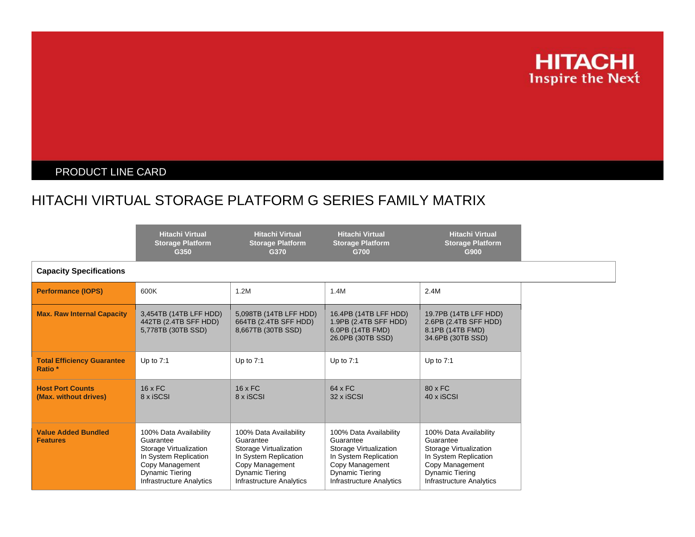

## PRODUCT LINE CARD

## HITACHI VIRTUAL STORAGE PLATFORM G SERIES FAMILY MATRIX

|                                                         | <b>Hitachi Virtual</b><br><b>Storage Platform</b><br>G350                                                                                                | <b>Hitachi Virtual</b><br><b>Storage Platform</b><br>G370                                                                                                       | <b>Hitachi Virtual</b><br><b>Storage Platform</b><br>G700                                                                                                       | <b>Hitachi Virtual</b><br><b>Storage Platform</b><br>G900                                                                                                       |  |
|---------------------------------------------------------|----------------------------------------------------------------------------------------------------------------------------------------------------------|-----------------------------------------------------------------------------------------------------------------------------------------------------------------|-----------------------------------------------------------------------------------------------------------------------------------------------------------------|-----------------------------------------------------------------------------------------------------------------------------------------------------------------|--|
| <b>Capacity Specifications</b>                          |                                                                                                                                                          |                                                                                                                                                                 |                                                                                                                                                                 |                                                                                                                                                                 |  |
| <b>Performance (IOPS)</b>                               | 600K                                                                                                                                                     | 1.2M                                                                                                                                                            | 1.4M                                                                                                                                                            | 2.4M                                                                                                                                                            |  |
| <b>Max. Raw Internal Capacity</b>                       | 3,454TB (14TB LFF HDD)<br>442TB (2.4TB SFF HDD)<br>5,778TB (30TB SSD)                                                                                    | 5,098TB (14TB LFF HDD)<br>664TB (2.4TB SFF HDD)<br>8,667TB (30TB SSD)                                                                                           | 16.4PB (14TB LFF HDD)<br>1.9PB (2.4TB SFF HDD)<br>6.0PB (14TB FMD)<br>26.0PB (30TB SSD)                                                                         | 19.7PB (14TB LFF HDD)<br>2.6PB (2.4TB SFF HDD)<br>8.1PB (14TB FMD)<br>34.6PB (30TB SSD)                                                                         |  |
| <b>Total Efficiency Guarantee</b><br>Ratio <sup>*</sup> | Up to $7:1$                                                                                                                                              | Up to $7:1$                                                                                                                                                     | Up to $7:1$                                                                                                                                                     | Up to $7:1$                                                                                                                                                     |  |
| <b>Host Port Counts</b><br>(Max. without drives)        | $16 \times FC$<br>8 x iSCSI                                                                                                                              | $16 \times FC$<br>8 x iSCSI                                                                                                                                     | 64 x FC<br>32 x iSCSI                                                                                                                                           | $80 \times FC$<br>40 x iSCSI                                                                                                                                    |  |
| <b>Value Added Bundled</b><br><b>Features</b>           | 100% Data Availability<br>Guarantee<br>Storage Virtualization<br>In System Replication<br>Copy Management<br>Dynamic Tiering<br>Infrastructure Analytics | 100% Data Availability<br>Guarantee<br>Storage Virtualization<br>In System Replication<br>Copy Management<br><b>Dynamic Tiering</b><br>Infrastructure Analytics | 100% Data Availability<br>Guarantee<br>Storage Virtualization<br>In System Replication<br>Copy Management<br><b>Dynamic Tiering</b><br>Infrastructure Analytics | 100% Data Availability<br>Guarantee<br>Storage Virtualization<br>In System Replication<br>Copy Management<br><b>Dynamic Tiering</b><br>Infrastructure Analytics |  |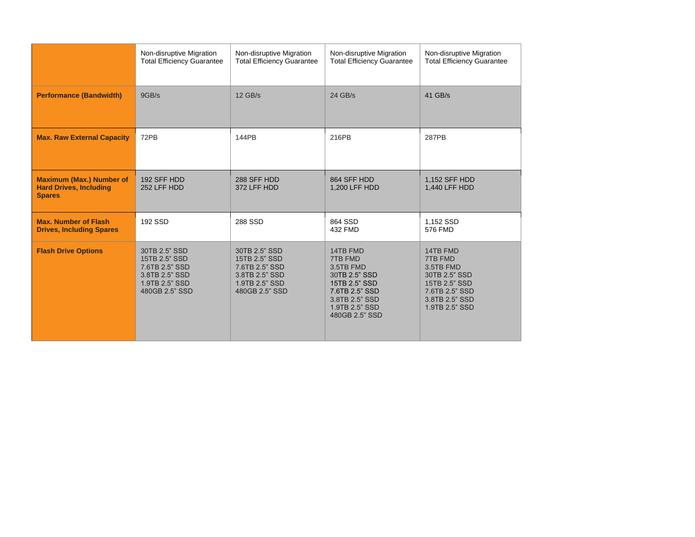|                                                                                   | Non-disruptive Migration<br><b>Total Efficiency Guarantee</b>                                          | Non-disruptive Migration<br><b>Total Efficiency Guarantee</b>                                          | Non-disruptive Migration<br><b>Total Efficiency Guarantee</b>                                                                              | Non-disruptive Migration<br><b>Total Efficiency Guarantee</b>                                                            |
|-----------------------------------------------------------------------------------|--------------------------------------------------------------------------------------------------------|--------------------------------------------------------------------------------------------------------|--------------------------------------------------------------------------------------------------------------------------------------------|--------------------------------------------------------------------------------------------------------------------------|
| <b>Performance (Bandwidth)</b>                                                    | 9GB/s                                                                                                  | $12$ GB/s                                                                                              | 24 GB/s                                                                                                                                    | 41 GB/s                                                                                                                  |
| <b>Max. Raw External Capacity</b>                                                 | 72PB                                                                                                   | 144PB                                                                                                  | 216PB                                                                                                                                      | 287PB                                                                                                                    |
| <b>Maximum (Max.) Number of</b><br><b>Hard Drives, Including</b><br><b>Spares</b> | 192 SFF HDD<br>252 LFF HDD                                                                             | 288 SFF HDD<br>372 LFF HDD                                                                             | 864 SFF HDD<br>1,200 LFF HDD                                                                                                               | 1,152 SFF HDD<br>1,440 LFF HDD                                                                                           |
| <b>Max. Number of Flash</b><br><b>Drives, Including Spares</b>                    | 192 SSD                                                                                                | 288 SSD                                                                                                | 864 SSD<br>432 FMD                                                                                                                         | 1,152 SSD<br>576 FMD                                                                                                     |
| <b>Flash Drive Options</b>                                                        | 30TB 2.5" SSD<br>15TB 2.5" SSD<br>7.6TB 2.5" SSD<br>3.8TB 2.5" SSD<br>1.9TB 2.5" SSD<br>480GB 2.5" SSD | 30TB 2.5" SSD<br>15TB 2.5" SSD<br>7.6TB 2.5" SSD<br>3.8TB 2.5" SSD<br>1.9TB 2.5" SSD<br>480GB 2.5" SSD | 14TB FMD<br>7TB FMD<br>3.5TB FMD<br>30TB 2.5" SSD<br>15TB 2.5" SSD<br>7.6TB 2.5" SSD<br>3.8TB 2.5" SSD<br>1.9TB 2.5" SSD<br>480GB 2.5" SSD | 14TB FMD<br>7TB FMD<br>3.5TB FMD<br>30TB 2.5" SSD<br>15TB 2.5" SSD<br>7.6TB 2.5" SSD<br>3.8TB 2.5" SSD<br>1.9TB 2.5" SSD |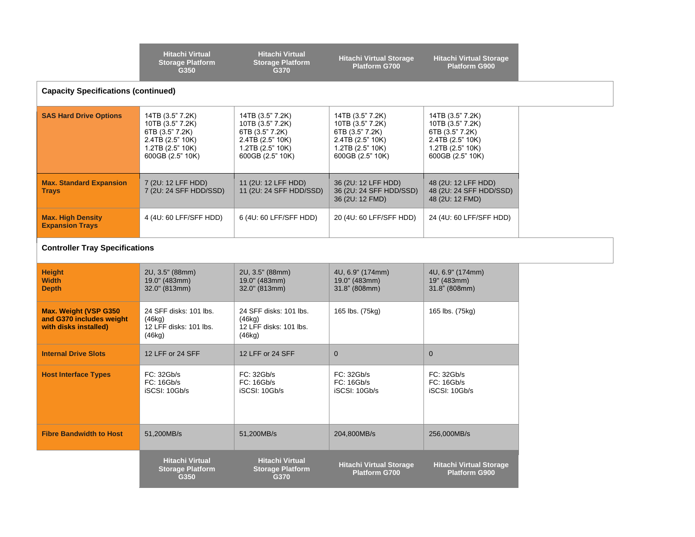|                                                                                    | <b>Hitachi Virtual</b><br><b>Storage Platform</b><br>G350                                                           | <b>Hitachi Virtual</b><br><b>Storage Platform</b><br>G370                                                           | <b>Hitachi Virtual Storage</b><br><b>Platform G700</b>                                                                      | <b>Hitachi Virtual Storage</b><br><b>Platform G900</b>                                                              |  |  |
|------------------------------------------------------------------------------------|---------------------------------------------------------------------------------------------------------------------|---------------------------------------------------------------------------------------------------------------------|-----------------------------------------------------------------------------------------------------------------------------|---------------------------------------------------------------------------------------------------------------------|--|--|
| <b>Capacity Specifications (continued)</b>                                         |                                                                                                                     |                                                                                                                     |                                                                                                                             |                                                                                                                     |  |  |
| <b>SAS Hard Drive Options</b>                                                      | 14TB (3.5" 7.2K)<br>10TB (3.5" 7.2K)<br>6TB (3.5" 7.2K)<br>2.4TB (2.5" 10K)<br>1.2TB (2.5" 10K)<br>600GB (2.5" 10K) | 14TB (3.5" 7.2K)<br>10TB (3.5" 7.2K)<br>6TB (3.5" 7.2K)<br>2.4TB (2.5" 10K)<br>1.2TB (2.5" 10K)<br>600GB (2.5" 10K) | 14TB (3.5" 7.2K)<br>10TB (3.5" 7.2K)<br>6TB (3.5" 7.2K)<br>$2.4T\dot{B}$ (2.5" 10K)<br>1.2TB (2.5" 10K)<br>600GB (2.5" 10K) | 14TB (3.5" 7.2K)<br>10TB (3.5" 7.2K)<br>6TB (3.5" 7.2K)<br>2.4TB (2.5" 10K)<br>1.2TB (2.5" 10K)<br>600GB (2.5" 10K) |  |  |
| <b>Max. Standard Expansion</b><br><b>Trays</b>                                     | 7 (2U: 12 LFF HDD)<br>7 (2U: 24 SFF HDD/SSD)                                                                        | 11 (2U: 12 LFF HDD)<br>11 (2U: 24 SFF HDD/SSD)                                                                      | 36 (2U: 12 LFF HDD)<br>36 (2U: 24 SFF HDD/SSD)<br>36 (2U: 12 FMD)                                                           | 48 (2U: 12 LFF HDD)<br>48 (2U: 24 SFF HDD/SSD)<br>48 (2U: 12 FMD)                                                   |  |  |
| <b>Max. High Density</b><br><b>Expansion Trays</b>                                 | 4 (4U: 60 LFF/SFF HDD)                                                                                              | 6 (4U: 60 LFF/SFF HDD)                                                                                              | 20 (4U: 60 LFF/SFF HDD)                                                                                                     | 24 (4U: 60 LFF/SFF HDD)                                                                                             |  |  |
| <b>Controller Tray Specifications</b>                                              |                                                                                                                     |                                                                                                                     |                                                                                                                             |                                                                                                                     |  |  |
| <b>Height</b><br><b>Width</b><br><b>Depth</b>                                      | 2U, 3.5" (88mm)<br>19.0" (483mm)<br>32.0" (813mm)                                                                   | 2U, 3.5" (88mm)<br>19.0" (483mm)<br>32.0" (813mm)                                                                   | 4U, 6.9" (174mm)<br>19.0" (483mm)<br>31.8" (808mm)                                                                          | 4U, 6.9" (174mm)<br>19" (483mm)<br>31.8" (808mm)                                                                    |  |  |
| <b>Max. Weight (VSP G350)</b><br>and G370 includes weight<br>with disks installed) | 24 SFF disks: 101 lbs.<br>(46ka)<br>12 LFF disks: 101 lbs.<br>(46kg)                                                | 24 SFF disks: 101 lbs.<br>(46ka)<br>12 LFF disks: 101 lbs.<br>(46kg)                                                | 165 lbs. (75kg)                                                                                                             | 165 lbs. (75kg)                                                                                                     |  |  |
| <b>Internal Drive Slots</b>                                                        | 12 LFF or 24 SFF                                                                                                    | 12 LFF or 24 SFF                                                                                                    | $\overline{0}$                                                                                                              | $\mathbf{0}$                                                                                                        |  |  |
| <b>Host Interface Types</b>                                                        | FC: 32Gb/s<br>FC: 16Gb/s<br>iSCSI: 10Gb/s                                                                           | FC: 32Gb/s<br>FC: 16Gb/s<br>iSCSI: 10Gb/s                                                                           | FC: 32Gb/s<br>FC: 16Gb/s<br>iSCSI: 10Gb/s                                                                                   | FC: 32Gb/s<br>FC: 16Gb/s<br>iSCSI: 10Gb/s                                                                           |  |  |
| <b>Fibre Bandwidth to Host</b>                                                     | 51,200MB/s                                                                                                          | 51,200MB/s                                                                                                          | 204,800MB/s                                                                                                                 | 256,000MB/s                                                                                                         |  |  |
|                                                                                    | <b>Hitachi Virtual</b><br><b>Storage Platform</b><br>G350                                                           | <b>Hitachi Virtual</b><br><b>Storage Platform</b><br>G370                                                           | <b>Hitachi Virtual Storage</b><br>Platform G700                                                                             | <b>Hitachi Virtual Storage</b><br><b>Platform G900</b>                                                              |  |  |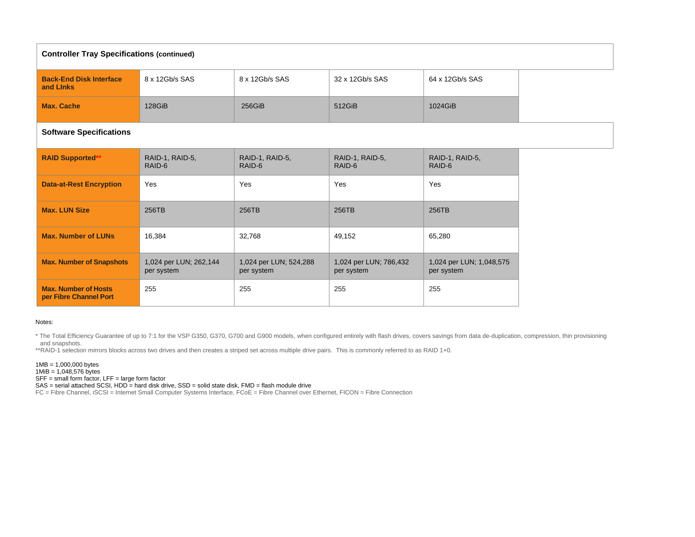| <b>Controller Tray Specifications (continued)</b>     |                                      |                                      |                                      |                                        |  |
|-------------------------------------------------------|--------------------------------------|--------------------------------------|--------------------------------------|----------------------------------------|--|
| <b>Back-End Disk Interface</b><br>and Links           | 8 x 12Gb/s SAS                       | 8 x 12Gb/s SAS                       | 32 x 12Gb/s SAS                      | 64 x 12Gb/s SAS                        |  |
| <b>Max. Cache</b>                                     | 128GiB                               | 256GiB                               | 512GiB                               | 1024GiB                                |  |
| <b>Software Specifications</b>                        |                                      |                                      |                                      |                                        |  |
| <b>RAID Supported*</b>                                | RAID-1, RAID-5,<br>RAID-6            | RAID-1, RAID-5,<br>RAID-6            | RAID-1, RAID-5,<br>RAID-6            | RAID-1, RAID-5,<br>RAID-6              |  |
| <b>Data-at-Rest Encryption</b>                        | Yes                                  | Yes                                  | Yes                                  | Yes                                    |  |
| <b>Max. LUN Size</b>                                  | 256TB                                | 256TB                                | 256TB                                | 256TB                                  |  |
| <b>Max. Number of LUNs</b>                            | 16,384                               | 32,768                               | 49,152                               | 65,280                                 |  |
| <b>Max. Number of Snapshots</b>                       | 1,024 per LUN; 262,144<br>per system | 1,024 per LUN; 524,288<br>per system | 1,024 per LUN; 786,432<br>per system | 1,024 per LUN; 1,048,575<br>per system |  |
| <b>Max. Number of Hosts</b><br>per Fibre Channel Port | 255                                  | 255                                  | 255                                  | 255                                    |  |

## Notes:

\* The Total Efficiency Guarantee of up to 7:1 for the VSP G350, G370, G700 and G900 models, when configured entirely with flash drives, covers savings from data de-duplication, compression, thin provisioning and snapshots.

\*\*RAID-1 selection mirrors blocks across two drives and then creates a striped set across multiple drive pairs. This is commonly referred to as RAID 1+0.

1MB = 1,000,000 bytes  $1\text{MiB} = 1,048,576 \text{ bytes}$ SFF = small form factor, LFF = large form factor

SAS = serial attached SCSI, HDD = hard disk drive, SSD = solid state disk, FMD = flash module drive

FC = Fibre Channel, iSCSI = Internet Small Computer Systems Interface, FCoE = Fibre Channel over Ethernet, FICON = Fibre Connection